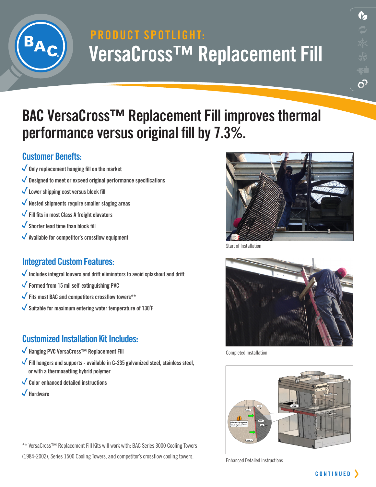

# **PRODUCT SPOTLIGHT: VersaCross™ Replacement Fill**

## **BAC VersaCross™ Replacement Fill improves thermal performance versus original fill by 7.3%.**

#### **Customer Benefts:**

- **Only replacement hanging fill on the market**
- **Designed to meet or exceed original performance specifications**
- **Lower shipping cost versus block fill**
- **Nested shipments require smaller staging areas**
- **Fill fits in most Class A freight elavators**
- **Shorter lead time than block fill**
- **Available for competitor's crossflow equipment**

### **Integrated Custom Features:**

- **Includes integral louvers and drift eliminators to avoid splashout and drift**
- **Formed from 15 mil self-extinguishing PVC**
- **Fits most BAC and competitors crossflow towers\*\***
- **Suitable for maximum entering water temperature of 130˚F**

### **Customized Installation Kit Includes:**

- **Hanging PVC VersaCross™ Replacement Fill**
- **Fill hangers and supports available in G-235 galvanized steel, stainless steel, or with a thermosetting hybrid polymer**
- **Color enhanced detailed instructions**
- **Hardware**



Start of Installation



Completed Installation



Enhanced Detailed Instructions

\*\* VersaCross™ Replacement Fill Kits will work with: BAC Series 3000 Cooling Towers

(1984-2002), Series 1500 Cooling Towers, and competitor's crossflow cooling towers.